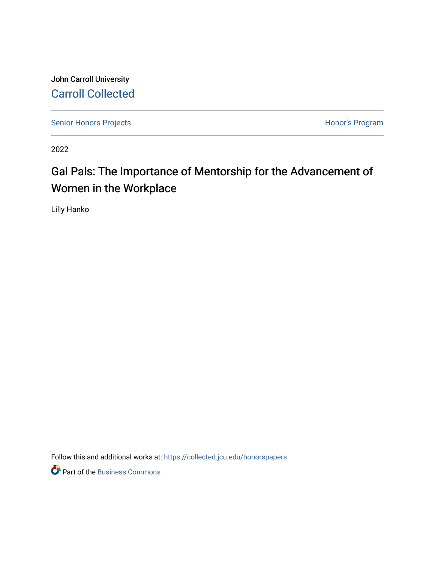John Carroll University [Carroll Collected](https://collected.jcu.edu/) 

[Senior Honors Projects](https://collected.jcu.edu/honorspapers) **Honor's Program** 

2022

# Gal Pals: The Importance of Mentorship for the Advancement of Women in the Workplace

Lilly Hanko

Follow this and additional works at: [https://collected.jcu.edu/honorspapers](https://collected.jcu.edu/honorspapers?utm_source=collected.jcu.edu%2Fhonorspapers%2F139&utm_medium=PDF&utm_campaign=PDFCoverPages)

Part of the [Business Commons](https://network.bepress.com/hgg/discipline/622?utm_source=collected.jcu.edu%2Fhonorspapers%2F139&utm_medium=PDF&utm_campaign=PDFCoverPages)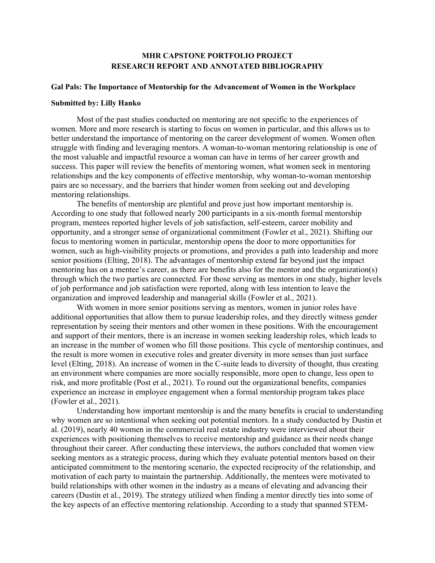## **MHR CAPSTONE PORTFOLIO PROJECT RESEARCH REPORT AND ANNOTATED BIBLIOGRAPHY**

## **Gal Pals: The Importance of Mentorship for the Advancement of Women in the Workplace**

#### **Submitted by: Lilly Hanko**

Most of the past studies conducted on mentoring are not specific to the experiences of women. More and more research is starting to focus on women in particular, and this allows us to better understand the importance of mentoring on the career development of women. Women often struggle with finding and leveraging mentors. A woman-to-woman mentoring relationship is one of the most valuable and impactful resource a woman can have in terms of her career growth and success. This paper will review the benefits of mentoring women, what women seek in mentoring relationships and the key components of effective mentorship, why woman-to-woman mentorship pairs are so necessary, and the barriers that hinder women from seeking out and developing mentoring relationships.

The benefits of mentorship are plentiful and prove just how important mentorship is. According to one study that followed nearly 200 participants in a six-month formal mentorship program, mentees reported higher levels of job satisfaction, self-esteem, career mobility and opportunity, and a stronger sense of organizational commitment (Fowler et al., 2021). Shifting our focus to mentoring women in particular, mentorship opens the door to more opportunities for women, such as high-visibility projects or promotions, and provides a path into leadership and more senior positions (Elting, 2018). The advantages of mentorship extend far beyond just the impact mentoring has on a mentee's career, as there are benefits also for the mentor and the organization(s) through which the two parties are connected. For those serving as mentors in one study, higher levels of job performance and job satisfaction were reported, along with less intention to leave the organization and improved leadership and managerial skills (Fowler et al., 2021).

With women in more senior positions serving as mentors, women in junior roles have additional opportunities that allow them to pursue leadership roles, and they directly witness gender representation by seeing their mentors and other women in these positions. With the encouragement and support of their mentors, there is an increase in women seeking leadership roles, which leads to an increase in the number of women who fill those positions. This cycle of mentorship continues, and the result is more women in executive roles and greater diversity in more senses than just surface level (Elting, 2018). An increase of women in the C-suite leads to diversity of thought, thus creating an environment where companies are more socially responsible, more open to change, less open to risk, and more profitable (Post et al., 2021). To round out the organizational benefits, companies experience an increase in employee engagement when a formal mentorship program takes place (Fowler et al., 2021).

Understanding how important mentorship is and the many benefits is crucial to understanding why women are so intentional when seeking out potential mentors. In a study conducted by Dustin et al. (2019), nearly 40 women in the commercial real estate industry were interviewed about their experiences with positioning themselves to receive mentorship and guidance as their needs change throughout their career. After conducting these interviews, the authors concluded that women view seeking mentors as a strategic process, during which they evaluate potential mentors based on their anticipated commitment to the mentoring scenario, the expected reciprocity of the relationship, and motivation of each party to maintain the partnership. Additionally, the mentees were motivated to build relationships with other women in the industry as a means of elevating and advancing their careers (Dustin et al., 2019). The strategy utilized when finding a mentor directly ties into some of the key aspects of an effective mentoring relationship. According to a study that spanned STEM-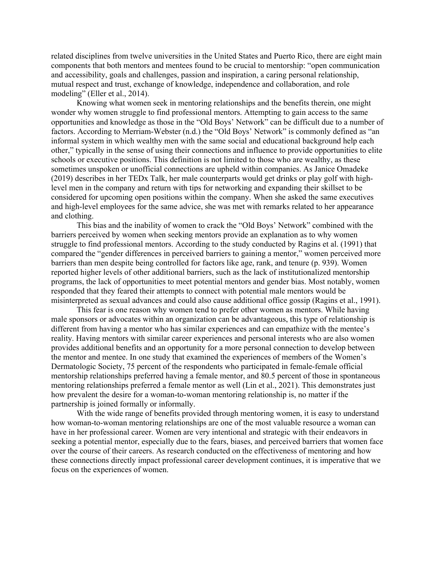related disciplines from twelve universities in the United States and Puerto Rico, there are eight main components that both mentors and mentees found to be crucial to mentorship: "open communication and accessibility, goals and challenges, passion and inspiration, a caring personal relationship, mutual respect and trust, exchange of knowledge, independence and collaboration, and role modeling" (Eller et al., 2014).

Knowing what women seek in mentoring relationships and the benefits therein, one might wonder why women struggle to find professional mentors. Attempting to gain access to the same opportunities and knowledge as those in the "Old Boys' Network" can be difficult due to a number of factors. According to Merriam-Webster (n.d.) the "Old Boys' Network" is commonly defined as "an informal system in which wealthy men with the same social and educational background help each other," typically in the sense of using their connections and influence to provide opportunities to elite schools or executive positions. This definition is not limited to those who are wealthy, as these sometimes unspoken or unofficial connections are upheld within companies. As Janice Omadeke (2019) describes in her TEDx Talk, her male counterparts would get drinks or play golf with highlevel men in the company and return with tips for networking and expanding their skillset to be considered for upcoming open positions within the company. When she asked the same executives and high-level employees for the same advice, she was met with remarks related to her appearance and clothing.

This bias and the inability of women to crack the "Old Boys' Network" combined with the barriers perceived by women when seeking mentors provide an explanation as to why women struggle to find professional mentors. According to the study conducted by Ragins et al. (1991) that compared the "gender differences in perceived barriers to gaining a mentor," women perceived more barriers than men despite being controlled for factors like age, rank, and tenure (p. 939). Women reported higher levels of other additional barriers, such as the lack of institutionalized mentorship programs, the lack of opportunities to meet potential mentors and gender bias. Most notably, women responded that they feared their attempts to connect with potential male mentors would be misinterpreted as sexual advances and could also cause additional office gossip (Ragins et al., 1991).

This fear is one reason why women tend to prefer other women as mentors. While having male sponsors or advocates within an organization can be advantageous, this type of relationship is different from having a mentor who has similar experiences and can empathize with the mentee's reality. Having mentors with similar career experiences and personal interests who are also women provides additional benefits and an opportunity for a more personal connection to develop between the mentor and mentee. In one study that examined the experiences of members of the Women's Dermatologic Society, 75 percent of the respondents who participated in female-female official mentorship relationships preferred having a female mentor, and 80.5 percent of those in spontaneous mentoring relationships preferred a female mentor as well (Lin et al., 2021). This demonstrates just how prevalent the desire for a woman-to-woman mentoring relationship is, no matter if the partnership is joined formally or informally.

With the wide range of benefits provided through mentoring women, it is easy to understand how woman-to-woman mentoring relationships are one of the most valuable resource a woman can have in her professional career. Women are very intentional and strategic with their endeavors in seeking a potential mentor, especially due to the fears, biases, and perceived barriers that women face over the course of their careers. As research conducted on the effectiveness of mentoring and how these connections directly impact professional career development continues, it is imperative that we focus on the experiences of women.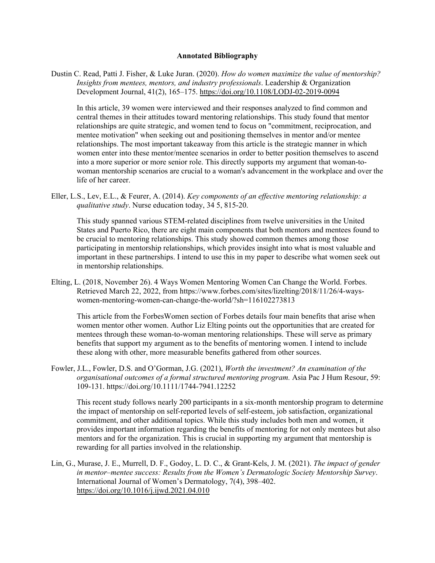### **Annotated Bibliography**

Dustin C. Read, Patti J. Fisher, & Luke Juran. (2020). *How do women maximize the value of mentorship? Insights from mentees, mentors, and industry professionals*. Leadership & Organization Development Journal, 41(2), 165–175. https://doi.org/10.1108/LODJ-02-2019-0094

In this article, 39 women were interviewed and their responses analyzed to find common and central themes in their attitudes toward mentoring relationships. This study found that mentor relationships are quite strategic, and women tend to focus on "commitment, reciprocation, and mentee motivation" when seeking out and positioning themselves in mentor and/or mentee relationships. The most important takeaway from this article is the strategic manner in which women enter into these mentor/mentee scenarios in order to better position themselves to ascend into a more superior or more senior role. This directly supports my argument that woman-towoman mentorship scenarios are crucial to a woman's advancement in the workplace and over the life of her career.

Eller, L.S., Lev, E.L., & Feurer, A. (2014). *Key components of an effective mentoring relationship: a qualitative study*. Nurse education today, 34 5, 815-20.

This study spanned various STEM-related disciplines from twelve universities in the United States and Puerto Rico, there are eight main components that both mentors and mentees found to be crucial to mentoring relationships. This study showed common themes among those participating in mentorship relationships, which provides insight into what is most valuable and important in these partnerships. I intend to use this in my paper to describe what women seek out in mentorship relationships.

Elting, L. (2018, November 26). 4 Ways Women Mentoring Women Can Change the World. Forbes. Retrieved March 22, 2022, from https://www.forbes.com/sites/lizelting/2018/11/26/4-wayswomen-mentoring-women-can-change-the-world/?sh=116102273813

This article from the ForbesWomen section of Forbes details four main benefits that arise when women mentor other women. Author Liz Elting points out the opportunities that are created for mentees through these woman-to-woman mentoring relationships. These will serve as primary benefits that support my argument as to the benefits of mentoring women. I intend to include these along with other, more measurable benefits gathered from other sources.

Fowler, J.L., Fowler, D.S. and O'Gorman, J.G. (2021), *Worth the investment? An examination of the organisational outcomes of a formal structured mentoring program.* Asia Pac J Hum Resour, 59: 109-131. https://doi.org/10.1111/1744-7941.12252

This recent study follows nearly 200 participants in a six-month mentorship program to determine the impact of mentorship on self-reported levels of self-esteem, job satisfaction, organizational commitment, and other additional topics. While this study includes both men and women, it provides important information regarding the benefits of mentoring for not only mentees but also mentors and for the organization. This is crucial in supporting my argument that mentorship is rewarding for all parties involved in the relationship.

Lin, G., Murase, J. E., Murrell, D. F., Godoy, L. D. C., & Grant-Kels, J. M. (2021). *The impact of gender in mentor–mentee success: Results from the Women's Dermatologic Society Mentorship Survey*. International Journal of Women's Dermatology, 7(4), 398–402. https://doi.org/10.1016/j.ijwd.2021.04.010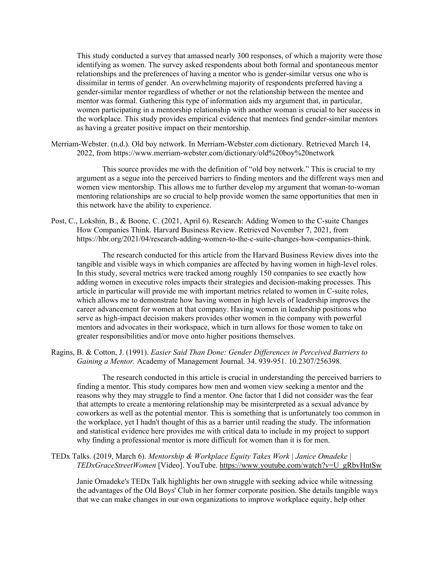This study conducted a survey that amassed nearly 300 responses, of which a majority were those identifying as women. The survey asked respondents about both formal and spontaneous mentor relationships and the preferences of having a mentor who is gender-similar versus one who is dissimilar in terms of gender. An overwhelming majority of respondents preferred having a gender-similar mentor regardless of whether or not the relationship between the mentee and mentor was formal. Gathering this type of information aids my argument that, in particular, women participating in a mentorship relationship with another woman is crucial to her success in the workplace. This study provides empirical evidence that mentees find gender-similar mentors as having a greater positive impact on their mentorship.

Merriam-Webster. (n.d.). Old boy network. In Merriam-Webster.com dictionary. Retrieved March 14, 2022, from https://www.merriam-webster.com/dictionary/old%20boy%20network

This source provides me with the definition of "old boy network." This is crucial to my argument as a segue into the perceived barriers to finding mentors and the different ways men and women view mentorship. This allows me to further develop my argument that woman-to-woman mentoring relationships are so crucial to help provide women the same opportunities that men in this network have the ability to experience.

Post, C., Lokshin, B., & Boone, C. (2021, April 6). Research: Adding Women to the C-suite Changes How Companies Think. Harvard Business Review. Retrieved November 7, 2021, from https://hbr.org/2021/04/research-adding-women-to-the-c-suite-changes-how-companies-think.

The research conducted for this article from the Harvard Business Review dives into the tangible and visible ways in which companies are affected by having women in high-level roles. In this study, several metrics were tracked among roughly 150 companies to see exactly how adding women in executive roles impacts their strategies and decision-making processes. This article in particular will provide me with important metrics related to women in C-suite roles, which allows me to demonstrate how having women in high levels of leadership improves the career advancement for women at that company. Having women in leadership positions who serve as high-impact decision makers provides other women in the company with powerful mentors and advocates in their workspace, which in turn allows for those women to take on greater responsibilities and/or move onto higher positions themselves.

Ragins, B. & Cotton, J. (1991). *Easier Said Than Done: Gender Differences in Perceived Barriers to Gaining a Mentor.* Academy of Management Journal. 34. 939-951. 10.2307/256398.

The research conducted in this article is crucial in understanding the perceived barriers to finding a mentor. This study compares how men and women view seeking a mentor and the reasons why they may struggle to find a mentor. One factor that I did not consider was the fear that attempts to create a mentoring relationship may be misinterpreted as a sexual advance by coworkers as well as the potential mentor. This is something that is unfortunately too common in the workplace, yet I hadn't thought of this as a barrier until reading the study. The information and statistical evidence here provides me with critical data to include in my project to support why finding a professional mentor is more difficult for women than it is for men.

TEDx Talks. (2019, March 6). *Mentorship & Workplace Equity Takes Work | Janice Omadeke | TEDxGraceStreetWomen* [Video]. YouTube. https://www.youtube.com/watch?v=U\_gRbvHntSw

Janie Omadeke's TEDx Talk highlights her own struggle with seeking advice while witnessing the advantages of the Old Boys' Club in her former corporate position. She details tangible ways that we can make changes in our own organizations to improve workplace equity, help other